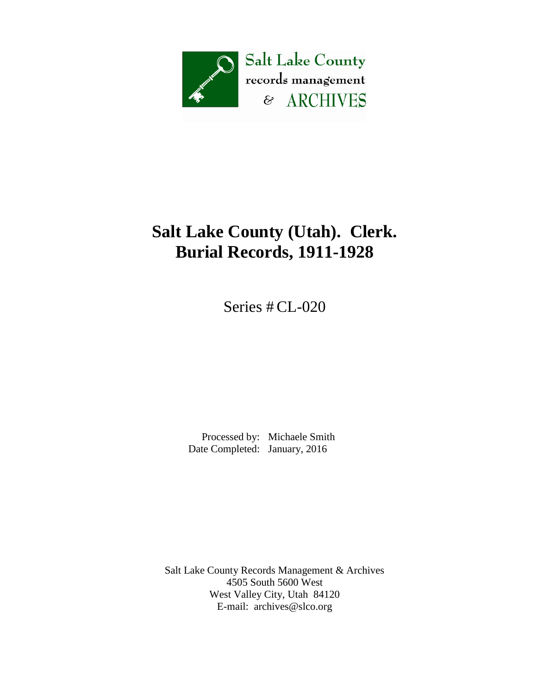

## **Salt Lake County (Utah). Clerk. Burial Records, 1911-1928**

Series # CL-020

 Processed by: Michaele Smith Date Completed: January, 2016

Salt Lake County Records Management & Archives 4505 South 5600 West West Valley City, Utah 84120 E-mail: [archives@slco.org](mailto:archives@slco.org)